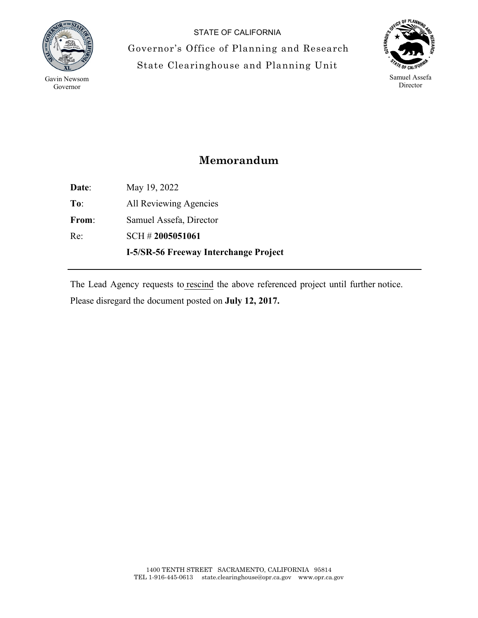

Gavin Newsom Governor

STATE OF CALIFORNIA Governor's Office of Planning and Research State Clearinghouse and Planning Unit



## **Memorandum**

**Date**: May 19, 2022 **To**: All Reviewing Agencies **From**: Samuel Assefa, Director Re: SCH # **2005051061 I-5/SR-56 Freeway Interchange Project**

The Lead Agency requests to rescind the above referenced project until further notice. Please disregard the document posted on **July 12, 2017.**